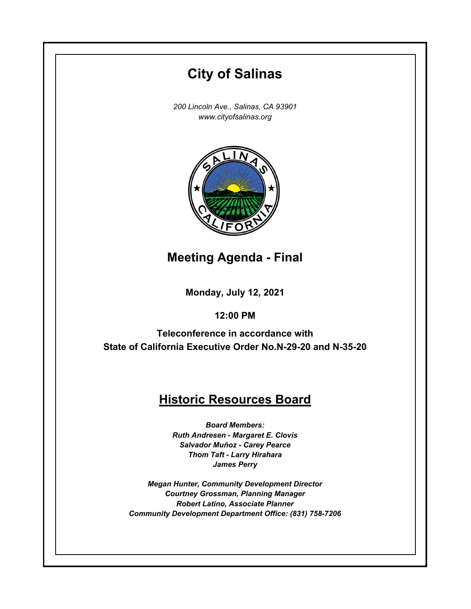# **City of Salinas**

*200 Lincoln Ave., Salinas, CA 93901 www.cityofsalinas.org*



**Meeting Agenda - Final**

**Monday, July 12, 2021**

**12:00 PM**

**Teleconference in accordance with State of California Executive Order No.N-29-20 and N-35-20**

# **Historic Resources Board**

*Board Members: Ruth Andresen - Margaret E. Clovis Salvador Muñoz - Carey Pearce Thom Taft - Larry Hirahara James Perry*

*Megan Hunter, Community Development Director Courtney Grossman, Planning Manager Robert Latino, Associate Planner Community Development Department Office: (831) 758-7206*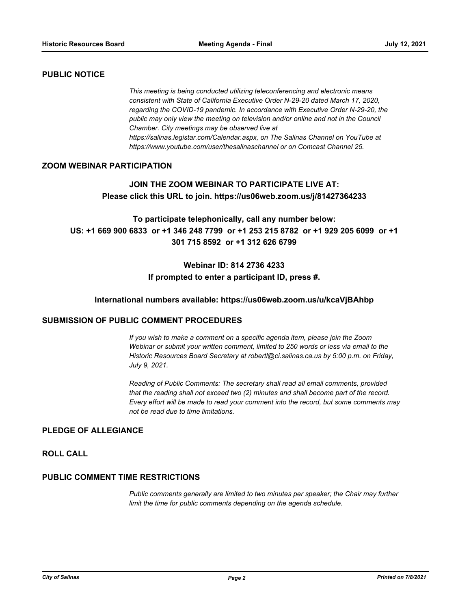## **PUBLIC NOTICE**

*This meeting is being conducted utilizing teleconferencing and electronic means consistent with State of California Executive Order N-29-20 dated March 17, 2020, regarding the COVID-19 pandemic. In accordance with Executive Order N-29-20, the public may only view the meeting on television and/or online and not in the Council Chamber. City meetings may be observed live at https://salinas.legistar.com/Calendar.aspx, on The Salinas Channel on YouTube at https://www.youtube.com/user/thesalinaschannel or on Comcast Channel 25.*

# **ZOOM WEBINAR PARTICIPATION**

# **JOIN THE ZOOM WEBINAR TO PARTICIPATE LIVE AT: Please click this URL to join. https://us06web.zoom.us/j/81427364233**

**To participate telephonically, call any number below: US: +1 669 900 6833 or +1 346 248 7799 or +1 253 215 8782 or +1 929 205 6099 or +1 301 715 8592 or +1 312 626 6799** 

# **Webinar ID: 814 2736 4233 If prompted to enter a participant ID, press #.**

#### **International numbers available: https://us06web.zoom.us/u/kcaVjBAhbp**

### **SUBMISSION OF PUBLIC COMMENT PROCEDURES**

*If you wish to make a comment on a specific agenda item, please join the Zoom Webinar or submit your written comment, limited to 250 words or less via email to the Historic Resources Board Secretary at robertl@ci.salinas.ca.us by 5:00 p.m. on Friday, July 9, 2021.* 

*Reading of Public Comments: The secretary shall read all email comments, provided that the reading shall not exceed two (2) minutes and shall become part of the record. Every effort will be made to read your comment into the record, but some comments may not be read due to time limitations.*

#### **PLEDGE OF ALLEGIANCE**

# **ROLL CALL**

#### **PUBLIC COMMENT TIME RESTRICTIONS**

*Public comments generally are limited to two minutes per speaker; the Chair may further limit the time for public comments depending on the agenda schedule.*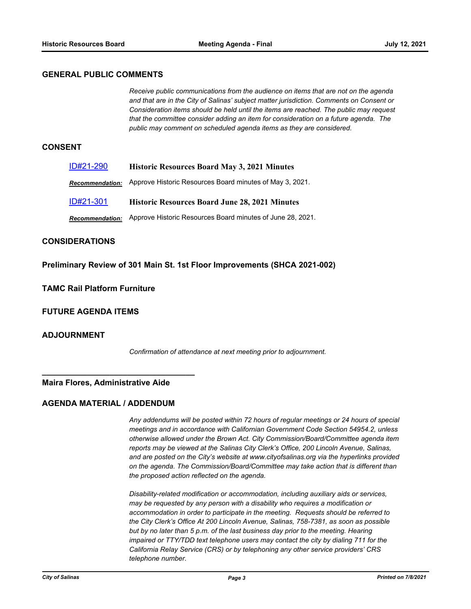#### **GENERAL PUBLIC COMMENTS**

*Receive public communications from the audience on items that are not on the agenda and that are in the City of Salinas' subject matter jurisdiction. Comments on Consent or Consideration items should be held until the items are reached. The public may request that the committee consider adding an item for consideration on a future agenda. The public may comment on scheduled agenda items as they are considered.*

#### **CONSENT**

| ID#21-290       | <b>Historic Resources Board May 3, 2021 Minutes</b>        |
|-----------------|------------------------------------------------------------|
| Recommendation: | Approve Historic Resources Board minutes of May 3, 2021.   |
| ID#21-301       | <b>Historic Resources Board June 28, 2021 Minutes</b>      |
| Recommendation: | Approve Historic Resources Board minutes of June 28, 2021. |

## **CONSIDERATIONS**

**Preliminary Review of 301 Main St. 1st Floor Improvements (SHCA 2021-002)**

## **TAMC Rail Platform Furniture**

**FUTURE AGENDA ITEMS**

#### **ADJOURNMENT**

*Confirmation of attendance at next meeting prior to adjournment.*

#### **Maira Flores, Administrative Aide**

**\_\_\_\_\_\_\_\_\_\_\_\_\_\_\_\_\_\_\_\_\_\_\_\_\_\_\_\_\_\_\_\_\_\_** 

## **AGENDA MATERIAL / ADDENDUM**

*Any addendums will be posted within 72 hours of regular meetings or 24 hours of special meetings and in accordance with Californian Government Code Section 54954.2, unless otherwise allowed under the Brown Act. City Commission/Board/Committee agenda item reports may be viewed at the Salinas City Clerk's Office, 200 Lincoln Avenue, Salinas, and are posted on the City's website at www.cityofsalinas.org via the hyperlinks provided on the agenda. The Commission/Board/Committee may take action that is different than the proposed action reflected on the agenda.*

*Disability-related modification or accommodation, including auxiliary aids or services, may be requested by any person with a disability who requires a modification or accommodation in order to participate in the meeting. Requests should be referred to the City Clerk's Office At 200 Lincoln Avenue, Salinas, 758-7381, as soon as possible but by no later than 5 p.m. of the last business day prior to the meeting. Hearing impaired or TTY/TDD text telephone users may contact the city by dialing 711 for the California Relay Service (CRS) or by telephoning any other service providers' CRS telephone number.*